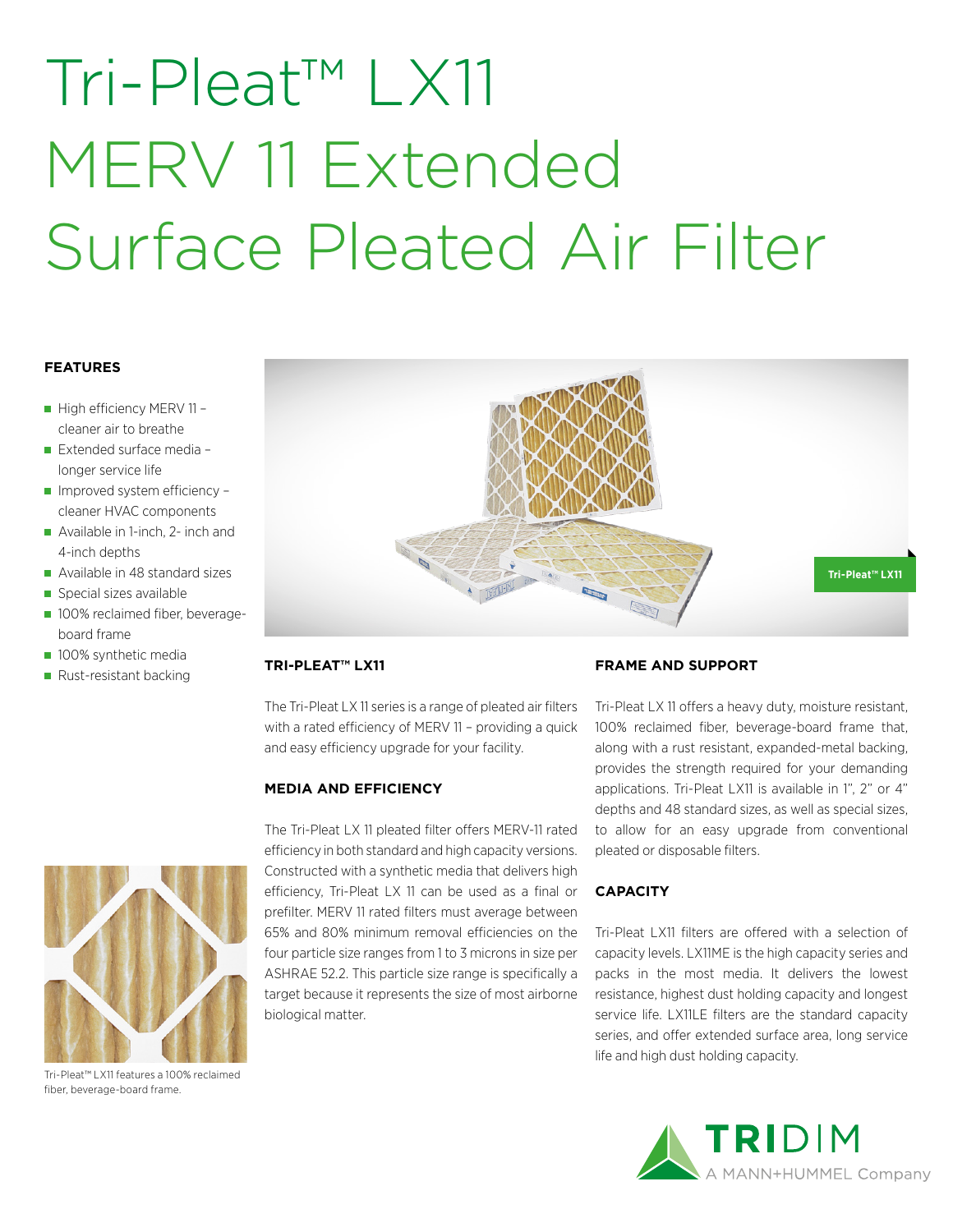# Tri-Pleat™ LX11 MERV 11 Extended Surface Pleated Air Filter

#### **FEATURES**

- High efficiency MERV 11 cleaner air to breathe
- Extended surface media longer service life
- Improved system efficiency cleaner HVAC components
- Available in 1-inch, 2- inch and 4-inch depths
- Available in 48 standard sizes
- Special sizes available
- **100% reclaimed fiber, beverage**board frame
- 100% synthetic media
- Rust-resistant backing



Tri-Pleat™ LX11 features a 100% reclaimed fiber, beverage-board frame.



### **TRI-PLEAT™ LX11**

The Tri-Pleat LX 11 series is a range of pleated air filters with a rated efficiency of MERV 11 – providing a quick and easy efficiency upgrade for your facility.

### **MEDIA AND EFFICIENCY**

The Tri-Pleat LX 11 pleated filter offers MERV-11 rated efficiency in both standard and high capacity versions. Constructed with a synthetic media that delivers high efficiency, Tri-Pleat LX 11 can be used as a final or prefilter. MERV 11 rated filters must average between 65% and 80% minimum removal efficiencies on the four particle size ranges from 1 to 3 microns in size per ASHRAE 52.2. This particle size range is specifically a target because it represents the size of most airborne biological matter.

### **FRAME AND SUPPORT**

Tri-Pleat LX 11 offers a heavy duty, moisture resistant, 100% reclaimed fiber, beverage-board frame that, along with a rust resistant, expanded-metal backing, provides the strength required for your demanding applications. Tri-Pleat LX11 is available in 1", 2" or 4" depths and 48 standard sizes, as well as special sizes, to allow for an easy upgrade from conventional pleated or disposable filters.

### **CAPACITY**

Tri-Pleat LX11 filters are offered with a selection of capacity levels. LX11ME is the high capacity series and packs in the most media. It delivers the lowest resistance, highest dust holding capacity and longest service life. LX11LE filters are the standard capacity series, and offer extended surface area, long service life and high dust holding capacity.